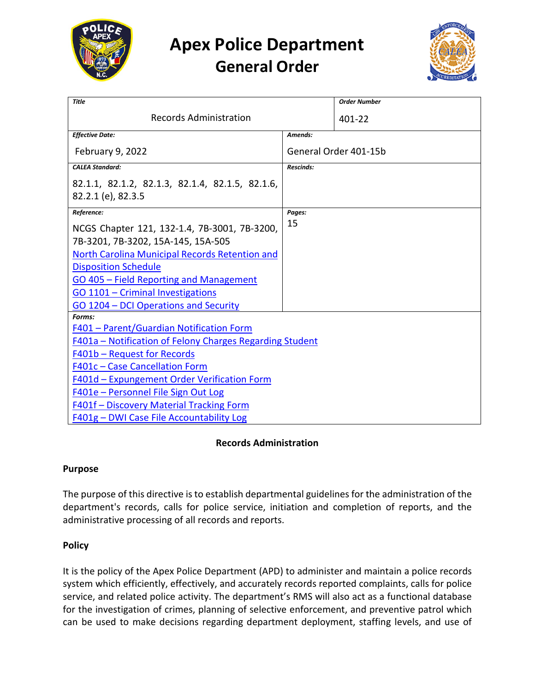

# **Apex Police Department General Order**



| <b>Title</b>                                                          |                       | <b>Order Number</b> |
|-----------------------------------------------------------------------|-----------------------|---------------------|
| <b>Records Administration</b>                                         |                       | 401-22              |
| <b>Effective Date:</b>                                                | Amends:               |                     |
| <b>February 9, 2022</b>                                               | General Order 401-15b |                     |
| <b>CALEA Standard:</b>                                                | <b>Rescinds:</b>      |                     |
| 82.1.1, 82.1.2, 82.1.3, 82.1.4, 82.1.5, 82.1.6,<br>82.2.1 (e), 82.3.5 |                       |                     |
| Reference:                                                            | Pages:                |                     |
| NCGS Chapter 121, 132-1.4, 7B-3001, 7B-3200,                          | 15                    |                     |
| 7B-3201, 7B-3202, 15A-145, 15A-505                                    |                       |                     |
| <b>North Carolina Municipal Records Retention and</b>                 |                       |                     |
| <b>Disposition Schedule</b>                                           |                       |                     |
| GO 405 - Field Reporting and Management                               |                       |                     |
| GO 1101 - Criminal Investigations                                     |                       |                     |
| GO 1204 - DCI Operations and Security                                 |                       |                     |
| Forms:                                                                |                       |                     |
| F401 - Parent/Guardian Notification Form                              |                       |                     |
| F401a - Notification of Felony Charges Regarding Student              |                       |                     |
| <b>F401b - Request for Records</b>                                    |                       |                     |
| <b>F401c - Case Cancellation Form</b>                                 |                       |                     |
| F401d - Expungement Order Verification Form                           |                       |                     |
| F401e - Personnel File Sign Out Log                                   |                       |                     |
| <b>F401f - Discovery Material Tracking Form</b>                       |                       |                     |
| F401g - DWI Case File Accountability Log                              |                       |                     |

## **Records Administration**

#### **Purpose**

The purpose of this directive is to establish departmental guidelines for the administration of the department's records, calls for police service, initiation and completion of reports, and the administrative processing of all records and reports.

## **Policy**

It is the policy of the Apex Police Department (APD) to administer and maintain a police records system which efficiently, effectively, and accurately records reported complaints, calls for police service, and related police activity. The department's RMS will also act as a functional database for the investigation of crimes, planning of selective enforcement, and preventive patrol which can be used to make decisions regarding department deployment, staffing levels, and use of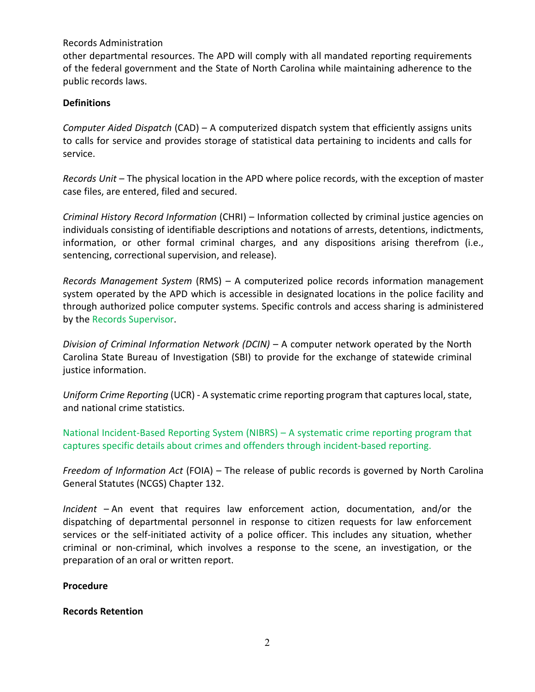other departmental resources. The APD will comply with all mandated reporting requirements of the federal government and the State of North Carolina while maintaining adherence to the public records laws.

#### **Definitions**

*Computer Aided Dispatch* (CAD) – A computerized dispatch system that efficiently assigns units to calls for service and provides storage of statistical data pertaining to incidents and calls for service.

*Records Unit* – The physical location in the APD where police records, with the exception of master case files, are entered, filed and secured.

*Criminal History Record Information* (CHRI) – Information collected by criminal justice agencies on individuals consisting of identifiable descriptions and notations of arrests, detentions, indictments, information, or other formal criminal charges, and any dispositions arising therefrom (i.e., sentencing, correctional supervision, and release).

*Records Management System* (RMS) – A computerized police records information management system operated by the APD which is accessible in designated locations in the police facility and through authorized police computer systems. Specific controls and access sharing is administered by the Records Supervisor.

*Division of Criminal Information Network (DCIN)* – A computer network operated by the North Carolina State Bureau of Investigation (SBI) to provide for the exchange of statewide criminal justice information.

*Uniform Crime Reporting* (UCR) - A systematic crime reporting program that captures local, state, and national crime statistics.

National Incident-Based Reporting System (NIBRS) – A systematic crime reporting program that captures specific details about crimes and offenders through incident-based reporting.

*Freedom of Information Act* (FOIA) – The release of public records is governed by North Carolina General Statutes (NCGS) Chapter 132.

*Incident* – An event that requires law enforcement action, documentation, and/or the dispatching of departmental personnel in response to citizen requests for law enforcement services or the self-initiated activity of a police officer. This includes any situation, whether criminal or non-criminal, which involves a response to the scene, an investigation, or the preparation of an oral or written report.

#### **Procedure**

#### **Records Retention**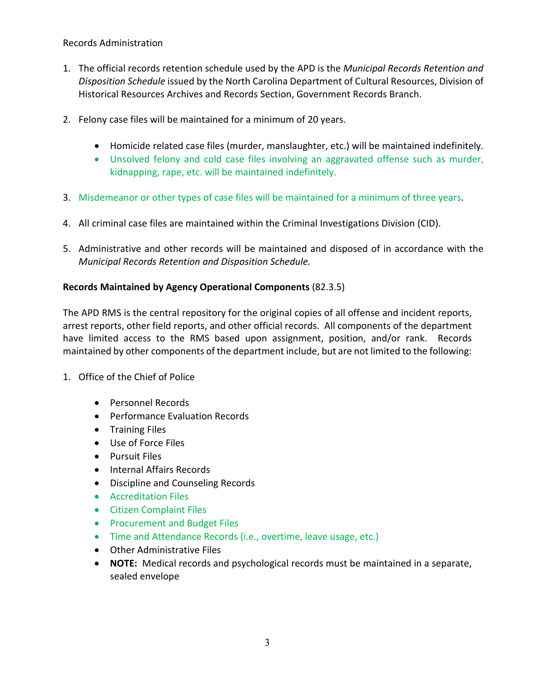- 1. The official records retention schedule used by the APD is the *Municipal Records Retention and Disposition Schedule* issued by the North Carolina Department of Cultural Resources, Division of Historical Resources Archives and Records Section, Government Records Branch.
- 2. Felony case files will be maintained for a minimum of 20 years.
	- Homicide related case files (murder, manslaughter, etc.) will be maintained indefinitely.
	- Unsolved felony and cold case files involving an aggravated offense such as murder, kidnapping, rape, etc. will be maintained indefinitely.
- 3. Misdemeanor or other types of case files will be maintained for a minimum of three years.
- 4. All criminal case files are maintained within the Criminal Investigations Division (CID).
- 5. Administrative and other records will be maintained and disposed of in accordance with the *Municipal Records Retention and Disposition Schedule.*

## **Records Maintained by Agency Operational Components** (82.3.5)

The APD RMS is the central repository for the original copies of all offense and incident reports, arrest reports, other field reports, and other official records. All components of the department have limited access to the RMS based upon assignment, position, and/or rank. Records maintained by other components of the department include, but are not limited to the following:

- 1. Office of the Chief of Police
	- Personnel Records
	- Performance Evaluation Records
	- Training Files
	- Use of Force Files
	- Pursuit Files
	- Internal Affairs Records
	- Discipline and Counseling Records
	- Accreditation Files
	- Citizen Complaint Files
	- Procurement and Budget Files
	- Time and Attendance Records (i.e., overtime, leave usage, etc.)
	- Other Administrative Files
	- **NOTE:** Medical records and psychological records must be maintained in a separate, sealed envelope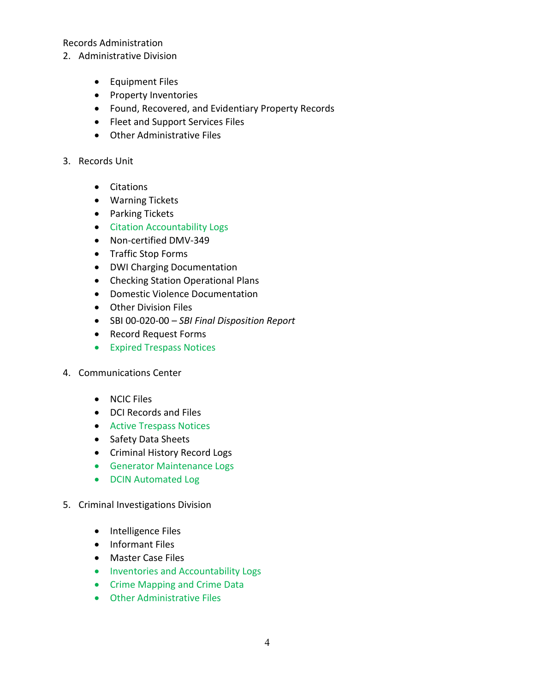- 2. Administrative Division
	- Equipment Files
	- Property Inventories
	- Found, Recovered, and Evidentiary Property Records
	- Fleet and Support Services Files
	- Other Administrative Files
- 3. Records Unit
	- Citations
	- Warning Tickets
	- Parking Tickets
	- Citation Accountability Logs
	- Non-certified DMV-349
	- Traffic Stop Forms
	- DWI Charging Documentation
	- Checking Station Operational Plans
	- Domestic Violence Documentation
	- Other Division Files
	- SBI 00-020-00 *SBI Final Disposition Report*
	- Record Request Forms
	- Expired Trespass Notices
- 4. Communications Center
	- NCIC Files
	- DCI Records and Files
	- Active Trespass Notices
	- Safety Data Sheets
	- Criminal History Record Logs
	- Generator Maintenance Logs
	- DCIN Automated Log
- 5. Criminal Investigations Division
	- Intelligence Files
	- Informant Files
	- Master Case Files
	- Inventories and Accountability Logs
	- Crime Mapping and Crime Data
	- Other Administrative Files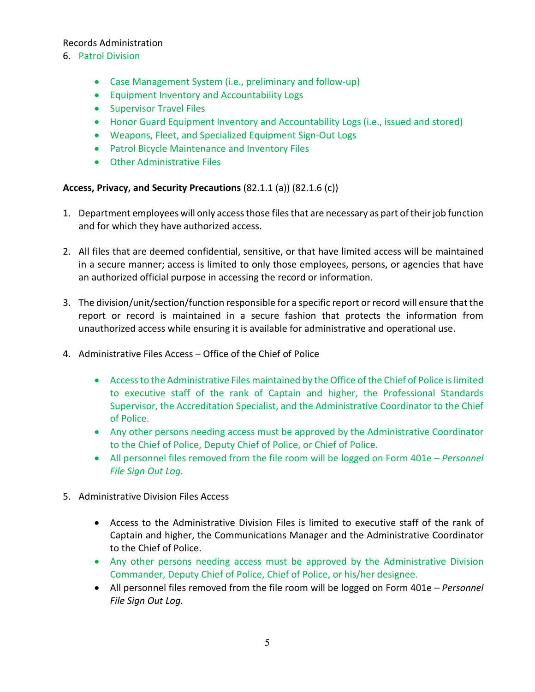## 6. Patrol Division

- Case Management System (i.e., preliminary and follow-up)
- Equipment Inventory and Accountability Logs
- Supervisor Travel Files
- Honor Guard Equipment Inventory and Accountability Logs (i.e., issued and stored)
- Weapons, Fleet, and Specialized Equipment Sign-Out Logs
- Patrol Bicycle Maintenance and Inventory Files
- Other Administrative Files

## **Access, Privacy, and Security Precautions** (82.1.1 (a)) (82.1.6 (c))

- 1. Department employees will only access those files that are necessary as part of their job function and for which they have authorized access.
- 2. All files that are deemed confidential, sensitive, or that have limited access will be maintained in a secure manner; access is limited to only those employees, persons, or agencies that have an authorized official purpose in accessing the record or information.
- 3. The division/unit/section/function responsible for a specific report or record will ensure that the report or record is maintained in a secure fashion that protects the information from unauthorized access while ensuring it is available for administrative and operational use.
- 4. Administrative Files Access Office of the Chief of Police
	- Access to the Administrative Files maintained by the Office of the Chief of Police is limited to executive staff of the rank of Captain and higher, the Professional Standards Supervisor, the Accreditation Specialist, and the Administrative Coordinator to the Chief of Police.
	- Any other persons needing access must be approved by the Administrative Coordinator to the Chief of Police, Deputy Chief of Police, or Chief of Police.
	- All personnel files removed from the file room will be logged on Form 401e *Personnel File Sign Out Log.*
- 5. Administrative Division Files Access
	- Access to the Administrative Division Files is limited to executive staff of the rank of Captain and higher, the Communications Manager and the Administrative Coordinator to the Chief of Police.
	- Any other persons needing access must be approved by the Administrative Division Commander, Deputy Chief of Police, Chief of Police, or his/her designee.
	- All personnel files removed from the file room will be logged on Form 401e *Personnel File Sign Out Log.*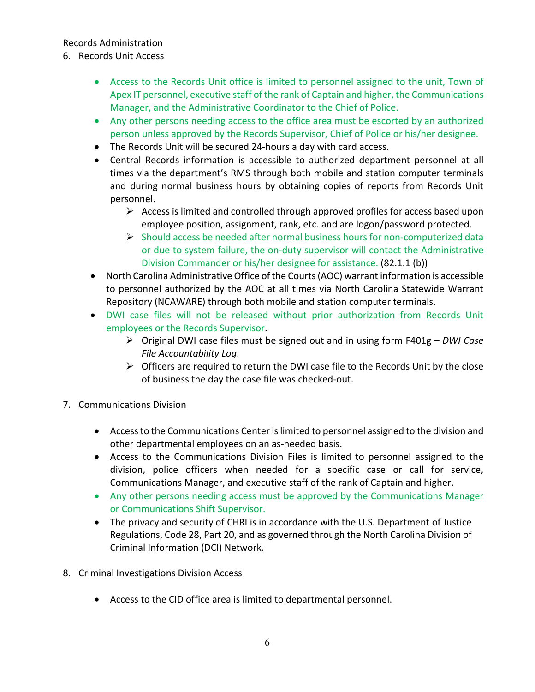- 6. Records Unit Access
	- Access to the Records Unit office is limited to personnel assigned to the unit, Town of Apex IT personnel, executive staff of the rank of Captain and higher, the Communications Manager, and the Administrative Coordinator to the Chief of Police.
	- Any other persons needing access to the office area must be escorted by an authorized person unless approved by the Records Supervisor, Chief of Police or his/her designee.
	- The Records Unit will be secured 24-hours a day with card access.
	- Central Records information is accessible to authorized department personnel at all times via the department's RMS through both mobile and station computer terminals and during normal business hours by obtaining copies of reports from Records Unit personnel.
		- $\triangleright$  Access is limited and controlled through approved profiles for access based upon employee position, assignment, rank, etc. and are logon/password protected.
		- $\triangleright$  Should access be needed after normal business hours for non-computerized data or due to system failure, the on-duty supervisor will contact the Administrative Division Commander or his/her designee for assistance. (82.1.1 (b))
	- North Carolina Administrative Office of the Courts (AOC) warrant information is accessible to personnel authorized by the AOC at all times via North Carolina Statewide Warrant Repository (NCAWARE) through both mobile and station computer terminals.
	- DWI case files will not be released without prior authorization from Records Unit employees or the Records Supervisor.
		- Original DWI case files must be signed out and in using form F401g *DWI Case File Accountability Log*.
		- $\triangleright$  Officers are required to return the DWI case file to the Records Unit by the close of business the day the case file was checked-out.
- 7. Communications Division
	- Access to the Communications Center is limited to personnel assigned to the division and other departmental employees on an as-needed basis.
	- Access to the Communications Division Files is limited to personnel assigned to the division, police officers when needed for a specific case or call for service, Communications Manager, and executive staff of the rank of Captain and higher.
	- Any other persons needing access must be approved by the Communications Manager or Communications Shift Supervisor.
	- The privacy and security of CHRI is in accordance with the U.S. Department of Justice Regulations, Code 28, Part 20, and as governed through the North Carolina Division of Criminal Information (DCI) Network.
- 8. Criminal Investigations Division Access
	- Access to the CID office area is limited to departmental personnel.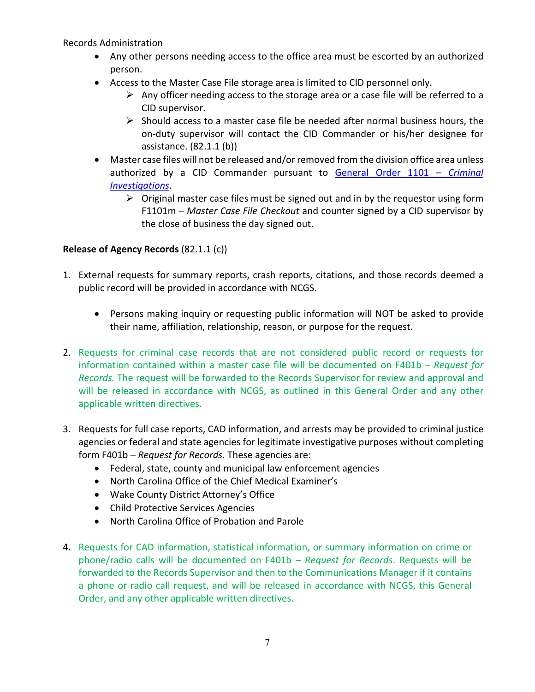- Any other persons needing access to the office area must be escorted by an authorized person.
- Access to the Master Case File storage area is limited to CID personnel only.
	- $\triangleright$  Any officer needing access to the storage area or a case file will be referred to a CID supervisor.
	- $\triangleright$  Should access to a master case file be needed after normal business hours, the on-duty supervisor will contact the CID Commander or his/her designee for assistance. (82.1.1 (b))
- Master case files will not be released and/or removed from the division office area unless authorized by a CID Commander pursuant to [General Order 1101 –](https://powerdms.com/link/APEXPD/document/?id=444156) *Criminal [Investigations](https://powerdms.com/link/APEXPD/document/?id=444156)*.
	- $\triangleright$  Original master case files must be signed out and in by the requestor using form F1101m – *Master Case File Checkout* and counter signed by a CID supervisor by the close of business the day signed out.

# **Release of Agency Records** (82.1.1 (c))

- 1. External requests for summary reports, crash reports, citations, and those records deemed a public record will be provided in accordance with NCGS.
	- Persons making inquiry or requesting public information will NOT be asked to provide their name, affiliation, relationship, reason, or purpose for the request.
- 2. Requests for criminal case records that are not considered public record or requests for information contained within a master case file will be documented on F401b – *Request for Records.* The request will be forwarded to the Records Supervisor for review and approval and will be released in accordance with NCGS, as outlined in this General Order and any other applicable written directives.
- 3. Requests for full case reports, CAD information, and arrests may be provided to criminal justice agencies or federal and state agencies for legitimate investigative purposes without completing form F401b – *Request for Records.* These agencies are:
	- Federal, state, county and municipal law enforcement agencies
	- North Carolina Office of the Chief Medical Examiner's
	- Wake County District Attorney's Office
	- Child Protective Services Agencies
	- North Carolina Office of Probation and Parole
- 4. Requests for CAD information, statistical information, or summary information on crime or phone/radio calls will be documented on F401b – *Request for Records*. Requests will be forwarded to the Records Supervisor and then to the Communications Manager if it contains a phone or radio call request, and will be released in accordance with NCGS, this General Order, and any other applicable written directives.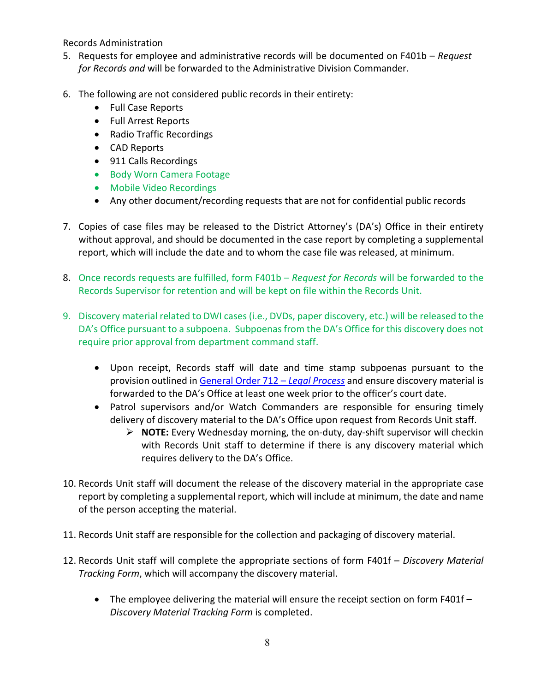- 5. Requests for employee and administrative records will be documented on F401b *Request for Records and* will be forwarded to the Administrative Division Commander.
- 6. The following are not considered public records in their entirety:
	- Full Case Reports
	- Full Arrest Reports
	- Radio Traffic Recordings
	- CAD Reports
	- 911 Calls Recordings
	- Body Worn Camera Footage
	- Mobile Video Recordings
	- Any other document/recording requests that are not for confidential public records
- 7. Copies of case files may be released to the District Attorney's (DA's) Office in their entirety without approval, and should be documented in the case report by completing a supplemental report, which will include the date and to whom the case file was released, at minimum.
- 8. Once records requests are fulfilled, form F401b *Request for Records* will be forwarded to the Records Supervisor for retention and will be kept on file within the Records Unit.
- 9. Discovery material related to DWI cases (i.e., DVDs, paper discovery, etc.) will be released to the DA's Office pursuant to a subpoena. Subpoenas from the DA's Office for this discovery does not require prior approval from department command staff.
	- Upon receipt, Records staff will date and time stamp subpoenas pursuant to the provision outlined i[n General Order 712 –](https://powerdms.com/link/APEXPD/document/?id=445136) *Legal Process* and ensure discovery material is forwarded to the DA's Office at least one week prior to the officer's court date.
	- Patrol supervisors and/or Watch Commanders are responsible for ensuring timely delivery of discovery material to the DA's Office upon request from Records Unit staff.
		- **NOTE:** Every Wednesday morning, the on-duty, day-shift supervisor will checkin with Records Unit staff to determine if there is any discovery material which requires delivery to the DA's Office.
- 10. Records Unit staff will document the release of the discovery material in the appropriate case report by completing a supplemental report, which will include at minimum, the date and name of the person accepting the material.
- 11. Records Unit staff are responsible for the collection and packaging of discovery material.
- 12. Records Unit staff will complete the appropriate sections of form F401f *Discovery Material Tracking Form*, which will accompany the discovery material.
	- The employee delivering the material will ensure the receipt section on form F401f *Discovery Material Tracking Form* is completed.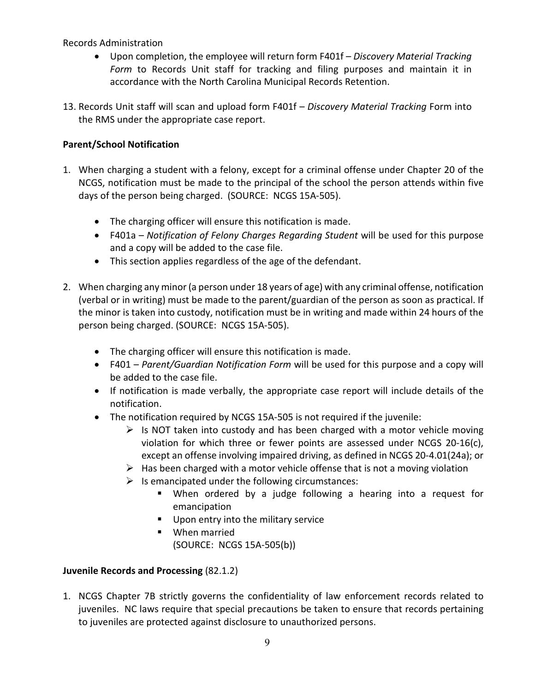- Upon completion, the employee will return form F401f *Discovery Material Tracking Form* to Records Unit staff for tracking and filing purposes and maintain it in accordance with the North Carolina Municipal Records Retention.
- 13. Records Unit staff will scan and upload form F401f *Discovery Material Tracking* Form into the RMS under the appropriate case report.

# **Parent/School Notification**

- 1. When charging a student with a felony, except for a criminal offense under Chapter 20 of the NCGS, notification must be made to the principal of the school the person attends within five days of the person being charged. (SOURCE: NCGS 15A-505).
	- The charging officer will ensure this notification is made.
	- F401a *Notification of Felony Charges Regarding Student* will be used for this purpose and a copy will be added to the case file.
	- This section applies regardless of the age of the defendant.
- 2. When charging any minor (a person under 18 years of age) with any criminal offense, notification (verbal or in writing) must be made to the parent/guardian of the person as soon as practical. If the minor is taken into custody, notification must be in writing and made within 24 hours of the person being charged. (SOURCE: NCGS 15A-505).
	- The charging officer will ensure this notification is made.
	- F401 *Parent/Guardian Notification Form* will be used for this purpose and a copy will be added to the case file.
	- If notification is made verbally, the appropriate case report will include details of the notification.
	- The notification required by NCGS 15A-505 is not required if the juvenile:
		- $\triangleright$  Is NOT taken into custody and has been charged with a motor vehicle moving violation for which three or fewer points are assessed under NCGS 20-16(c), except an offense involving impaired driving, as defined in NCGS 20-4.01(24a); or
		- $\triangleright$  Has been charged with a motor vehicle offense that is not a moving violation
		- $\triangleright$  Is emancipated under the following circumstances:
			- When ordered by a judge following a hearing into a request for emancipation
			- Upon entry into the military service
			- **When married** (SOURCE: NCGS 15A-505(b))

# **Juvenile Records and Processing** (82.1.2)

1. NCGS Chapter 7B strictly governs the confidentiality of law enforcement records related to juveniles. NC laws require that special precautions be taken to ensure that records pertaining to juveniles are protected against disclosure to unauthorized persons.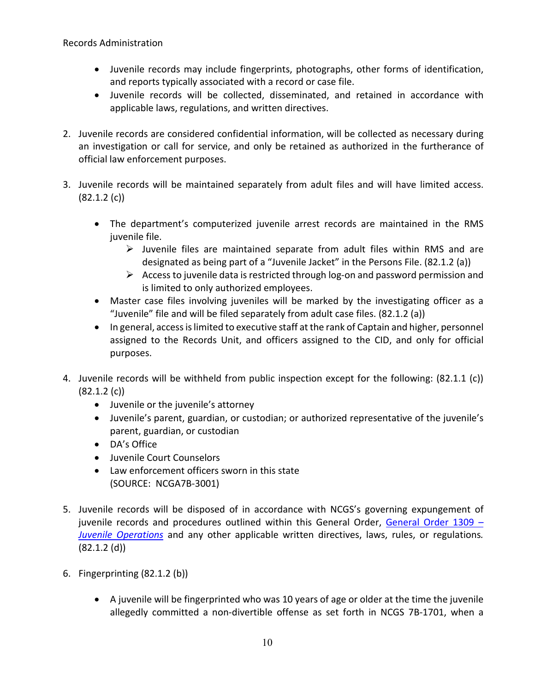- Juvenile records may include fingerprints, photographs, other forms of identification, and reports typically associated with a record or case file.
- Juvenile records will be collected, disseminated, and retained in accordance with applicable laws, regulations, and written directives.
- 2. Juvenile records are considered confidential information, will be collected as necessary during an investigation or call for service, and only be retained as authorized in the furtherance of official law enforcement purposes.
- 3. Juvenile records will be maintained separately from adult files and will have limited access. (82.1.2 (c))
	- The department's computerized juvenile arrest records are maintained in the RMS juvenile file.
		- $\triangleright$  Juvenile files are maintained separate from adult files within RMS and are designated as being part of a "Juvenile Jacket" in the Persons File. (82.1.2 (a))
		- $\triangleright$  Access to juvenile data is restricted through log-on and password permission and is limited to only authorized employees.
	- Master case files involving juveniles will be marked by the investigating officer as a "Juvenile" file and will be filed separately from adult case files. (82.1.2 (a))
	- In general, access is limited to executive staff at the rank of Captain and higher, personnel assigned to the Records Unit, and officers assigned to the CID, and only for official purposes.
- 4. Juvenile records will be withheld from public inspection except for the following: (82.1.1 (c)) (82.1.2 (c))
	- Juvenile or the juvenile's attorney
	- Juvenile's parent, guardian, or custodian; or authorized representative of the juvenile's parent, guardian, or custodian
	- DA's Office
	- Juvenile Court Counselors
	- Law enforcement officers sworn in this state (SOURCE: NCGA7B-3001)
- 5. Juvenile records will be disposed of in accordance with NCGS's governing expungement of juvenile records and procedures outlined within this General Order, [General Order 1309 –](https://powerdms.com/link/APEXPD/document/?id=444400) *[Juvenile Operations](https://powerdms.com/link/APEXPD/document/?id=444400)* and any other applicable written directives, laws, rules, or regulations*.* (82.1.2 (d))
- 6. Fingerprinting (82.1.2 (b))
	- A juvenile will be fingerprinted who was 10 years of age or older at the time the juvenile allegedly committed a non-divertible offense as set forth in NCGS 7B-1701, when a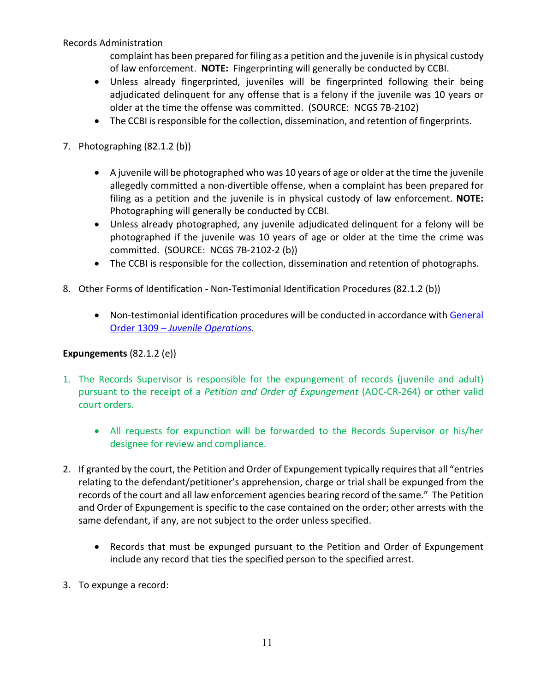complaint has been prepared for filing as a petition and the juvenile is in physical custody of law enforcement. **NOTE:** Fingerprinting will generally be conducted by CCBI.

- Unless already fingerprinted, juveniles will be fingerprinted following their being adjudicated delinquent for any offense that is a felony if the juvenile was 10 years or older at the time the offense was committed. (SOURCE: NCGS 7B-2102)
- The CCBI is responsible for the collection, dissemination, and retention of fingerprints.
- 7. Photographing (82.1.2 (b))
	- A juvenile will be photographed who was 10 years of age or older at the time the juvenile allegedly committed a non-divertible offense, when a complaint has been prepared for filing as a petition and the juvenile is in physical custody of law enforcement. **NOTE:** Photographing will generally be conducted by CCBI.
	- Unless already photographed, any juvenile adjudicated delinquent for a felony will be photographed if the juvenile was 10 years of age or older at the time the crime was committed. (SOURCE: NCGS 7B-2102-2 (b))
	- The CCBI is responsible for the collection, dissemination and retention of photographs.
- 8. Other Forms of Identification Non-Testimonial Identification Procedures (82.1.2 (b))
	- Non-testimonial identification procedures will be conducted in accordance with General Order 1309 – *[Juvenile Operations.](https://powerdms.com/link/APEXPD/document/?id=444400)*

## **Expungements** (82.1.2 (e))

- 1. The Records Supervisor is responsible for the expungement of records (juvenile and adult) pursuant to the receipt of a *Petition and Order of Expungement* (AOC-CR-264) or other valid court orders.
	- All requests for expunction will be forwarded to the Records Supervisor or his/her designee for review and compliance.
- 2. If granted by the court, the Petition and Order of Expungement typically requires that all "entries relating to the defendant/petitioner's apprehension, charge or trial shall be expunged from the records of the court and all law enforcement agencies bearing record of the same." The Petition and Order of Expungement is specific to the case contained on the order; other arrests with the same defendant, if any, are not subject to the order unless specified.
	- Records that must be expunged pursuant to the Petition and Order of Expungement include any record that ties the specified person to the specified arrest.
- 3. To expunge a record: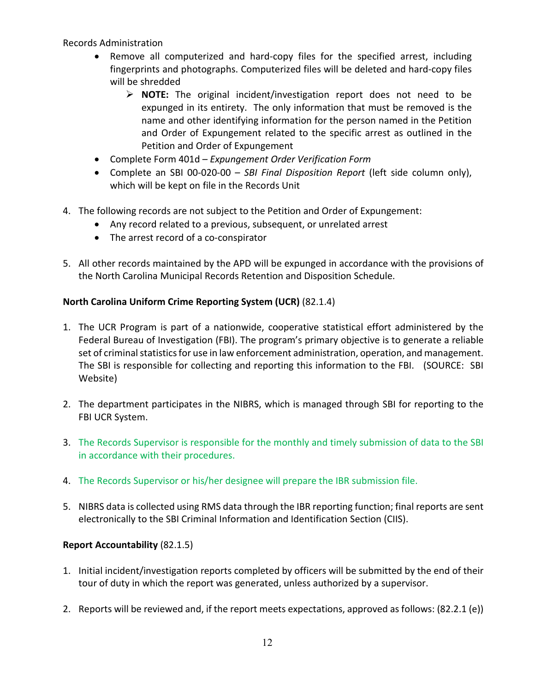- Remove all computerized and hard-copy files for the specified arrest, including fingerprints and photographs. Computerized files will be deleted and hard-copy files will be shredded
	- **NOTE:** The original incident/investigation report does not need to be expunged in its entirety. The only information that must be removed is the name and other identifying information for the person named in the Petition and Order of Expungement related to the specific arrest as outlined in the Petition and Order of Expungement
- Complete Form 401d *Expungement Order Verification Form*
- Complete an SBI 00-020-00 *SBI Final Disposition Report* (left side column only), which will be kept on file in the Records Unit
- 4. The following records are not subject to the Petition and Order of Expungement:
	- Any record related to a previous, subsequent, or unrelated arrest
	- The arrest record of a co-conspirator
- 5. All other records maintained by the APD will be expunged in accordance with the provisions of the North Carolina Municipal Records Retention and Disposition Schedule.

## **North Carolina Uniform Crime Reporting System (UCR)** (82.1.4)

- 1. The UCR Program is part of a nationwide, cooperative statistical effort administered by the Federal Bureau of Investigation (FBI). The program's primary objective is to generate a reliable set of criminal statistics for use in law enforcement administration, operation, and management. The SBI is responsible for collecting and reporting this information to the FBI. (SOURCE: SBI Website)
- 2. The department participates in the NIBRS, which is managed through SBI for reporting to the FBI UCR System.
- 3. The Records Supervisor is responsible for the monthly and timely submission of data to the SBI in accordance with their procedures.
- 4. The Records Supervisor or his/her designee will prepare the IBR submission file.
- 5. NIBRS data is collected using RMS data through the IBR reporting function; final reports are sent electronically to the SBI Criminal Information and Identification Section (CIIS).

## **Report Accountability** (82.1.5)

- 1. Initial incident/investigation reports completed by officers will be submitted by the end of their tour of duty in which the report was generated, unless authorized by a supervisor.
- 2. Reports will be reviewed and, if the report meets expectations, approved as follows: (82.2.1 (e))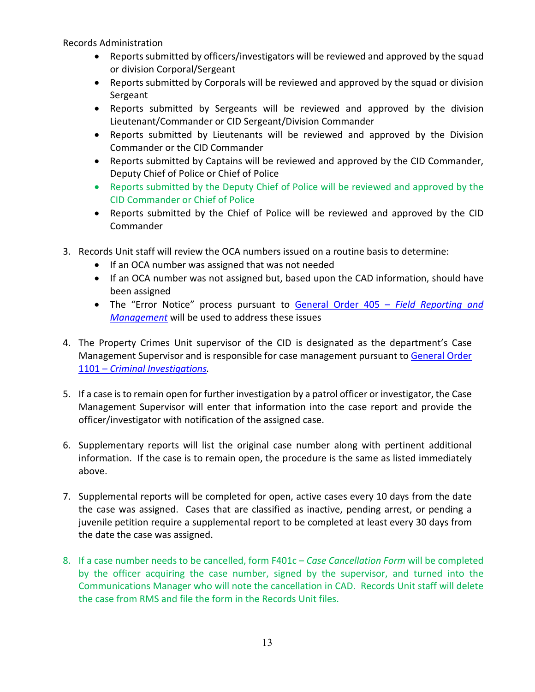- Reports submitted by officers/investigators will be reviewed and approved by the squad or division Corporal/Sergeant
- Reports submitted by Corporals will be reviewed and approved by the squad or division Sergeant
- Reports submitted by Sergeants will be reviewed and approved by the division Lieutenant/Commander or CID Sergeant/Division Commander
- Reports submitted by Lieutenants will be reviewed and approved by the Division Commander or the CID Commander
- Reports submitted by Captains will be reviewed and approved by the CID Commander, Deputy Chief of Police or Chief of Police
- Reports submitted by the Deputy Chief of Police will be reviewed and approved by the CID Commander or Chief of Police
- Reports submitted by the Chief of Police will be reviewed and approved by the CID **Commander**
- 3. Records Unit staff will review the OCA numbers issued on a routine basis to determine:
	- If an OCA number was assigned that was not needed
	- If an OCA number was not assigned but, based upon the CAD information, should have been assigned
	- The "Error Notice" process pursuant to [General Order 405 –](https://powerdms.com/link/APEXPD/document/?id=446142) *Field Reporting and [Management](https://powerdms.com/link/APEXPD/document/?id=446142)* will be used to address these issues
- 4. The Property Crimes Unit supervisor of the CID is designated as the department's Case Management Supervisor and is responsible for case management pursuant to General Order 1101 – *[Criminal Investigations.](https://powerdms.com/link/APEXPD/document/?id=444156)*
- 5. If a case is to remain open for further investigation by a patrol officer or investigator, the Case Management Supervisor will enter that information into the case report and provide the officer/investigator with notification of the assigned case.
- 6. Supplementary reports will list the original case number along with pertinent additional information. If the case is to remain open, the procedure is the same as listed immediately above.
- 7. Supplemental reports will be completed for open, active cases every 10 days from the date the case was assigned. Cases that are classified as inactive, pending arrest, or pending a juvenile petition require a supplemental report to be completed at least every 30 days from the date the case was assigned.
- 8. If a case number needs to be cancelled, form F401c *Case Cancellation Form* will be completed by the officer acquiring the case number, signed by the supervisor, and turned into the Communications Manager who will note the cancellation in CAD. Records Unit staff will delete the case from RMS and file the form in the Records Unit files.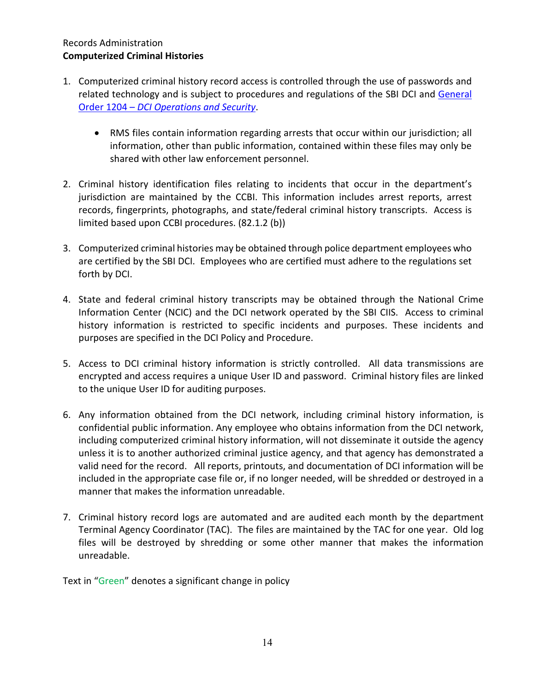#### Records Administration **Computerized Criminal Histories**

- 1. Computerized criminal history record access is controlled through the use of passwords and related technology and is subject to procedures and regulations of the SBI DCI and [General](https://powerdms.com/link/APEXPD/document/?id=581707)  Order 1204 – *[DCI Operations and Security](https://powerdms.com/link/APEXPD/document/?id=581707)*.
	- RMS files contain information regarding arrests that occur within our jurisdiction; all information, other than public information, contained within these files may only be shared with other law enforcement personnel.
- 2. Criminal history identification files relating to incidents that occur in the department's jurisdiction are maintained by the CCBI. This information includes arrest reports, arrest records, fingerprints, photographs, and state/federal criminal history transcripts. Access is limited based upon CCBI procedures. (82.1.2 (b))
- 3. Computerized criminal histories may be obtained through police department employees who are certified by the SBI DCI. Employees who are certified must adhere to the regulations set forth by DCI.
- 4. State and federal criminal history transcripts may be obtained through the National Crime Information Center (NCIC) and the DCI network operated by the SBI CIIS. Access to criminal history information is restricted to specific incidents and purposes. These incidents and purposes are specified in the DCI Policy and Procedure.
- 5. Access to DCI criminal history information is strictly controlled. All data transmissions are encrypted and access requires a unique User ID and password. Criminal history files are linked to the unique User ID for auditing purposes.
- 6. Any information obtained from the DCI network, including criminal history information, is confidential public information. Any employee who obtains information from the DCI network, including computerized criminal history information, will not disseminate it outside the agency unless it is to another authorized criminal justice agency, and that agency has demonstrated a valid need for the record. All reports, printouts, and documentation of DCI information will be included in the appropriate case file or, if no longer needed, will be shredded or destroyed in a manner that makes the information unreadable.
- 7. Criminal history record logs are automated and are audited each month by the department Terminal Agency Coordinator (TAC). The files are maintained by the TAC for one year. Old log files will be destroyed by shredding or some other manner that makes the information unreadable.

Text in "Green" denotes a significant change in policy